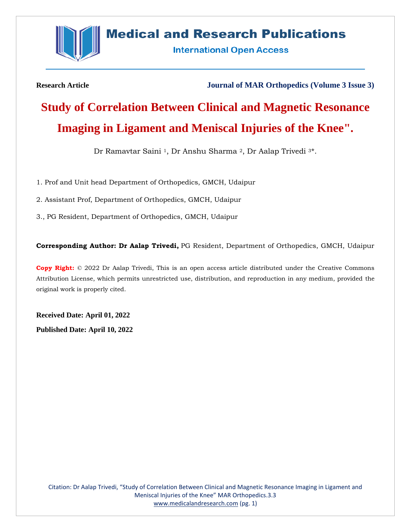

## **Medical and Research Publications**

**International Open Access** 

**Research Article Journal of MAR Orthopedics (Volume 3 Issue 3)**

## **Study of Correlation Between Clinical and Magnetic Resonance Imaging in Ligament and Meniscal Injuries of the Knee".**

Dr Ramavtar Saini <sup>1</sup>, Dr Anshu Sharma <sup>2</sup>, Dr Aalap Trivedi <sup>3</sup>\*.

1. Prof and Unit head Department of Orthopedics, GMCH, Udaipur

2. Assistant Prof, Department of Orthopedics, GMCH, Udaipur

3., PG Resident, Department of Orthopedics, GMCH, Udaipur

**Corresponding Author: Dr Aalap Trivedi,** PG Resident, Department of Orthopedics, GMCH, Udaipur

**Copy Right:** © 2022 Dr Aalap Trivedi, This is an open access article distributed under the Creative Commons Attribution License, which permits unrestricted use, distribution, and reproduction in any medium, provided the original work is properly cited.

**Received Date: April 01, 2022 Published Date: April 10, 2022**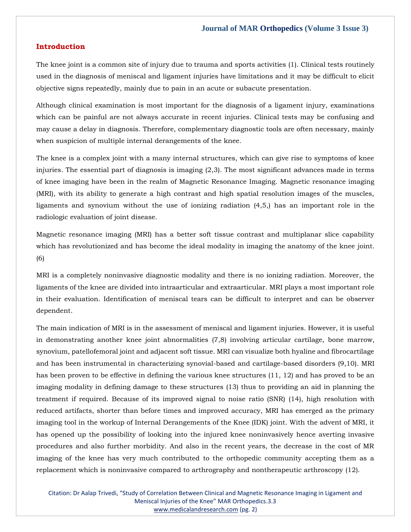#### **Introduction**

The knee joint is a common site of injury due to trauma and sports activities (1). Clinical tests routinely used in the diagnosis of meniscal and ligament injuries have limitations and it may be difficult to elicit objective signs repeatedly, mainly due to pain in an acute or subacute presentation.

Although clinical examination is most important for the diagnosis of a ligament injury, examinations which can be painful are not always accurate in recent injuries. Clinical tests may be confusing and may cause a delay in diagnosis. Therefore, complementary diagnostic tools are often necessary, mainly when suspicion of multiple internal derangements of the knee.

The knee is a complex joint with a many internal structures, which can give rise to symptoms of knee injuries. The essential part of diagnosis is imaging (2,3). The most significant advances made in terms of knee imaging have been in the realm of Magnetic Resonance Imaging. Magnetic resonance imaging (MRI), with its ability to generate a high contrast and high spatial resolution images of the muscles, ligaments and synovium without the use of ionizing radiation (4,5,) has an important role in the radiologic evaluation of joint disease.

Magnetic resonance imaging (MRI) has a better soft tissue contrast and multiplanar slice capability which has revolutionized and has become the ideal modality in imaging the anatomy of the knee joint. (6)

MRI is a completely noninvasive diagnostic modality and there is no ionizing radiation. Moreover, the ligaments of the knee are divided into intraarticular and extraarticular. MRI plays a most important role in their evaluation. Identification of meniscal tears can be difficult to interpret and can be observer dependent.

The main indication of MRI is in the assessment of meniscal and ligament injuries. However, it is useful in demonstrating another knee joint abnormalities (7,8) involving articular cartilage, bone marrow, synovium, patellofemoral joint and adjacent soft tissue. MRI can visualize both hyaline and fibrocartilage and has been instrumental in characterizing synovial-based and cartilage-based disorders (9,10). MRI has been proven to be effective in defining the various knee structures (11, 12) and has proved to be an imaging modality in defining damage to these structures (13) thus to providing an aid in planning the treatment if required. Because of its improved signal to noise ratio (SNR) (14), high resolution with reduced artifacts, shorter than before times and improved accuracy, MRI has emerged as the primary imaging tool in the workup of Internal Derangements of the Knee (IDK) joint. With the advent of MRI, it has opened up the possibility of looking into the injured knee noninvasively hence averting invasive procedures and also further morbidity. And also in the recent years, the decrease in the cost of MR imaging of the knee has very much contributed to the orthopedic community accepting them as a replacement which is noninvasive compared to arthrography and nontherapeutic arthroscopy (12).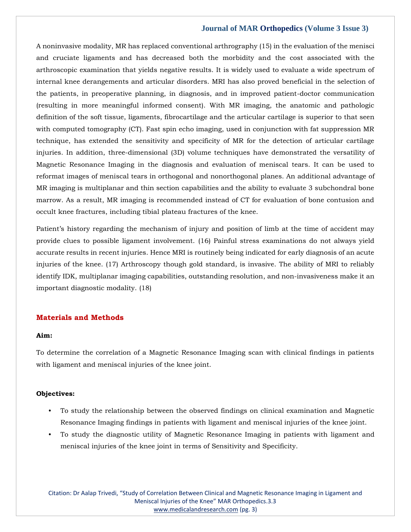A noninvasive modality, MR has replaced conventional arthrography (15) in the evaluation of the menisci and cruciate ligaments and has decreased both the morbidity and the cost associated with the arthroscopic examination that yields negative results. It is widely used to evaluate a wide spectrum of internal knee derangements and articular disorders. MRI has also proved beneficial in the selection of the patients, in preoperative planning, in diagnosis, and in improved patient-doctor communication (resulting in more meaningful informed consent). With MR imaging, the anatomic and pathologic definition of the soft tissue, ligaments, fibrocartilage and the articular cartilage is superior to that seen with computed tomography (CT). Fast spin echo imaging, used in conjunction with fat suppression MR technique, has extended the sensitivity and specificity of MR for the detection of articular cartilage injuries. In addition, three-dimensional (3D) volume techniques have demonstrated the versatility of Magnetic Resonance Imaging in the diagnosis and evaluation of meniscal tears. It can be used to reformat images of meniscal tears in orthogonal and nonorthogonal planes. An additional advantage of MR imaging is multiplanar and thin section capabilities and the ability to evaluate 3 subchondral bone marrow. As a result, MR imaging is recommended instead of CT for evaluation of bone contusion and occult knee fractures, including tibial plateau fractures of the knee.

Patient's history regarding the mechanism of injury and position of limb at the time of accident may provide clues to possible ligament involvement. (16) Painful stress examinations do not always yield accurate results in recent injuries. Hence MRI is routinely being indicated for early diagnosis of an acute injuries of the knee. (17) Arthroscopy though gold standard, is invasive. The ability of MRI to reliably identify IDK, multiplanar imaging capabilities, outstanding resolution, and non-invasiveness make it an important diagnostic modality. (18)

## **Materials and Methods**

#### **Aim:**

To determine the correlation of a Magnetic Resonance Imaging scan with clinical findings in patients with ligament and meniscal injuries of the knee joint.

#### **Objectives:**

- To study the relationship between the observed findings on clinical examination and Magnetic Resonance Imaging findings in patients with ligament and meniscal injuries of the knee joint.
- To study the diagnostic utility of Magnetic Resonance Imaging in patients with ligament and meniscal injuries of the knee joint in terms of Sensitivity and Specificity.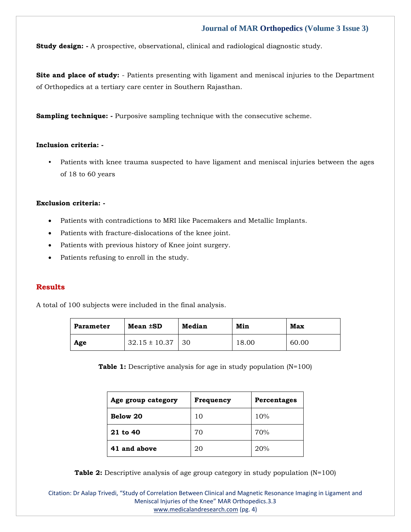**Study design:** - A prospective, observational, clinical and radiological diagnostic study.

**Site and place of study:** - Patients presenting with ligament and meniscal injuries to the Department of Orthopedics at a tertiary care center in Southern Rajasthan.

**Sampling technique: -** Purposive sampling technique with the consecutive scheme.

#### **Inclusion criteria: -**

• Patients with knee trauma suspected to have ligament and meniscal injuries between the ages of 18 to 60 years

#### **Exclusion criteria: -**

- Patients with contradictions to MRI like Pacemakers and Metallic Implants.
- Patients with fracture-dislocations of the knee joint.
- Patients with previous history of Knee joint surgery.
- Patients refusing to enroll in the study.

#### **Results**

A total of 100 subjects were included in the final analysis.

| <b>Parameter</b> | Mean ±SD          | <b>Median</b> | Min   | Max   |
|------------------|-------------------|---------------|-------|-------|
| Age              | $32.15 \pm 10.37$ | 30            | 18.00 | 60.00 |

**Table 1:** Descriptive analysis for age in study population (N=100)

| Age group category | Frequency | <b>Percentages</b> |
|--------------------|-----------|--------------------|
| Below 20           | 10        | 10%                |
| 21 to 40           | 70        | 70%                |
| 41 and above       | 20        | 20%                |

**Table 2:** Descriptive analysis of age group category in study population (N=100)

Citation: Dr Aalap Trivedi, "Study of Correlation Between Clinical and Magnetic Resonance Imaging in Ligament and Meniscal Injuries of the Knee" MAR Orthopedics.3.3 [www.medicalandresearch.com](http://www.medicalandresearch.com/) (pg. 4)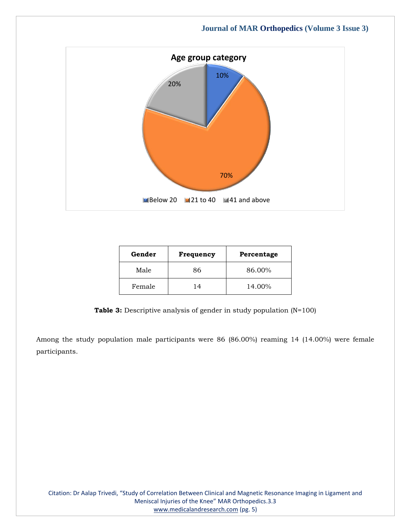

| Gender | Frequency | Percentage |
|--------|-----------|------------|
| Male   | 86        | 86.00%     |
| Female | 14        | 14.00%     |

**Table 3:** Descriptive analysis of gender in study population (N=100)

Among the study population male participants were 86 (86.00%) reaming 14 (14.00%) were female participants.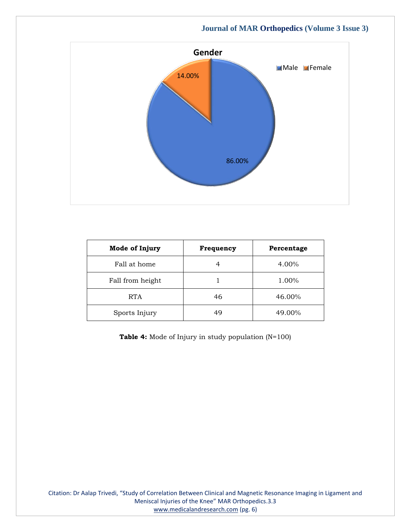

| Mode of Injury   | Frequency | Percentage |
|------------------|-----------|------------|
| Fall at home     |           | 4.00%      |
| Fall from height |           | 1.00%      |
| <b>RTA</b>       | 46        | 46.00%     |
| Sports Injury    | 49        | 49.00%     |

**Table 4:** Mode of Injury in study population (N=100)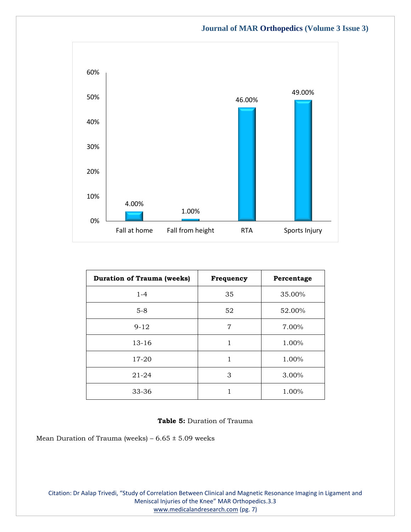

| <b>Duration of Trauma (weeks)</b> | Frequency | Percentage |
|-----------------------------------|-----------|------------|
| $1 - 4$                           | 35        | 35.00%     |
| $5-8$                             | 52        | 52.00%     |
| $9 - 12$                          | 7         | 7.00%      |
| $13 - 16$                         | 1         | 1.00%      |
| 17-20                             | 1         | 1.00%      |
| $21 - 24$                         | 3         | 3.00%      |
| 33-36                             |           | 1.00%      |

#### **Table 5:** Duration of Trauma

Mean Duration of Trauma (weeks) –  $6.65 \pm 5.09$  weeks

Citation: Dr Aalap Trivedi, "Study of Correlation Between Clinical and Magnetic Resonance Imaging in Ligament and Meniscal Injuries of the Knee" MAR Orthopedics.3.3 [www.medicalandresearch.com](http://www.medicalandresearch.com/) (pg. 7)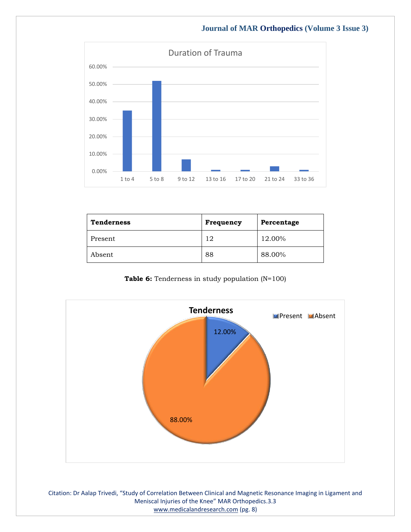

| <b>Tenderness</b> | Frequency | Percentage |
|-------------------|-----------|------------|
| Present           | 12        | 12.00%     |
| Absent            | 88        | 88.00%     |





Citation: Dr Aalap Trivedi, "Study of Correlation Between Clinical and Magnetic Resonance Imaging in Ligament and Meniscal Injuries of the Knee" MAR Orthopedics.3.3 [www.medicalandresearch.com](http://www.medicalandresearch.com/) (pg. 8)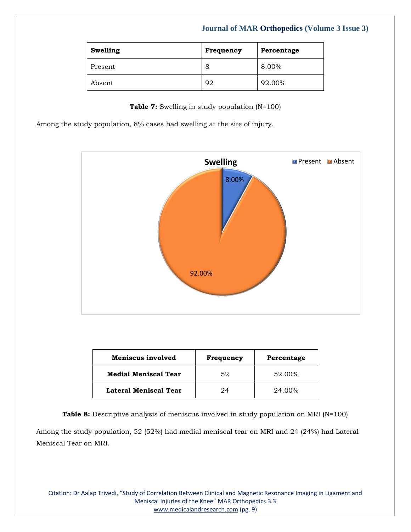| Swelling | Frequency | Percentage |
|----------|-----------|------------|
| Present  | 8         | 8.00%      |
| Absent   | 92        | 92.00%     |

**Table 7:** Swelling in study population (N=100)

Among the study population, 8% cases had swelling at the site of injury.



| Meniscus involved           | Frequency | Percentage |
|-----------------------------|-----------|------------|
| <b>Medial Meniscal Tear</b> | 52        | 52.00%     |
| Lateral Meniscal Tear       | 24        | 24.00%     |

**Table 8:** Descriptive analysis of meniscus involved in study population on MRI (N=100) Among the study population, 52 (52%) had medial meniscal tear on MRI and 24 (24%) had Lateral Meniscal Tear on MRI.

Citation: Dr Aalap Trivedi, "Study of Correlation Between Clinical and Magnetic Resonance Imaging in Ligament and Meniscal Injuries of the Knee" MAR Orthopedics.3.3 [www.medicalandresearch.com](http://www.medicalandresearch.com/) (pg. 9)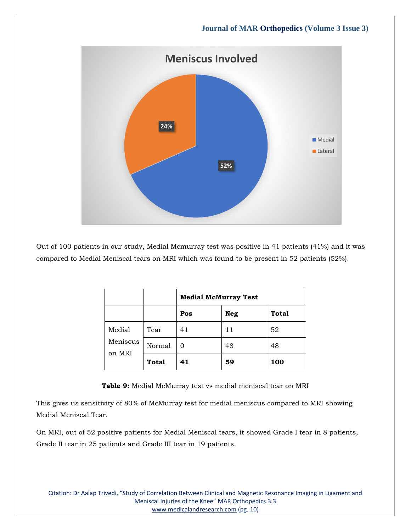

Out of 100 patients in our study, Medial Mcmurray test was positive in 41 patients (41%) and it was compared to Medial Meniscal tears on MRI which was found to be present in 52 patients (52%).

|                    |              | <b>Medial McMurray Test</b> |            |       |
|--------------------|--------------|-----------------------------|------------|-------|
|                    |              | Pos                         | <b>Neg</b> | Total |
| Medial             | Tear         | 41                          | 11         | 52    |
| Meniscus<br>on MRI | Normal       | 0                           | 48         | 48    |
|                    | <b>Total</b> | 41                          | 59         | 100   |

**Table 9:** Medial McMurray test vs medial meniscal tear on MRI

This gives us sensitivity of 80% of McMurray test for medial meniscus compared to MRI showing Medial Meniscal Tear.

On MRI, out of 52 positive patients for Medial Meniscal tears, it showed Grade I tear in 8 patients, Grade II tear in 25 patients and Grade III tear in 19 patients.

Citation: Dr Aalap Trivedi, "Study of Correlation Between Clinical and Magnetic Resonance Imaging in Ligament and Meniscal Injuries of the Knee" MAR Orthopedics.3.3 [www.medicalandresearch.com](http://www.medicalandresearch.com/) (pg. 10)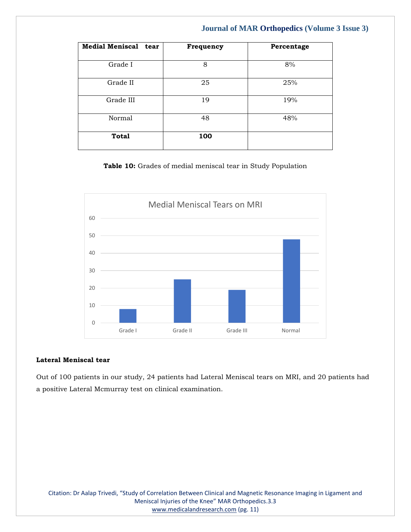| Medial Meniscal tear | Frequency | Percentage |
|----------------------|-----------|------------|
| Grade I              | 8         | 8%         |
| Grade II             | 25        | 25%        |
| Grade III            | 19        | 19%        |
| Normal               | 48        | 48%        |
| <b>Total</b>         | 100       |            |

**Table 10:** Grades of medial meniscal tear in Study Population



#### **Lateral Meniscal tear**

Out of 100 patients in our study, 24 patients had Lateral Meniscal tears on MRI, and 20 patients had a positive Lateral Mcmurray test on clinical examination.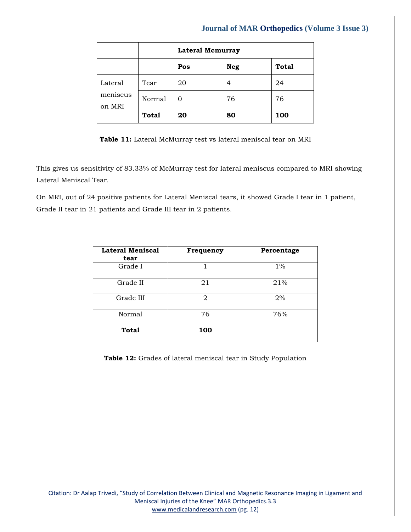|                               |              | <b>Lateral Mcmurray</b> |            |              |
|-------------------------------|--------------|-------------------------|------------|--------------|
|                               |              | Pos                     | <b>Neg</b> | <b>Total</b> |
| Lateral<br>meniscus<br>on MRI | Tear         | 20                      | 4          | 24           |
|                               | Normal       | $\Omega$                | 76         | 76           |
|                               | <b>Total</b> | 20                      | 80         | 100          |

**Table 11:** Lateral McMurray test vs lateral meniscal tear on MRI

This gives us sensitivity of 83.33% of McMurray test for lateral meniscus compared to MRI showing Lateral Meniscal Tear.

On MRI, out of 24 positive patients for Lateral Meniscal tears, it showed Grade I tear in 1 patient, Grade II tear in 21 patients and Grade III tear in 2 patients.

| <b>Lateral Meniscal</b><br>tear | Frequency | Percentage |
|---------------------------------|-----------|------------|
| Grade I                         |           | $1\%$      |
| Grade II                        | 21        | 21%        |
| Grade III                       | 2         | 2%         |
| Normal                          | 76        | 76%        |
| Total                           | 100       |            |

**Table 12:** Grades of lateral meniscal tear in Study Population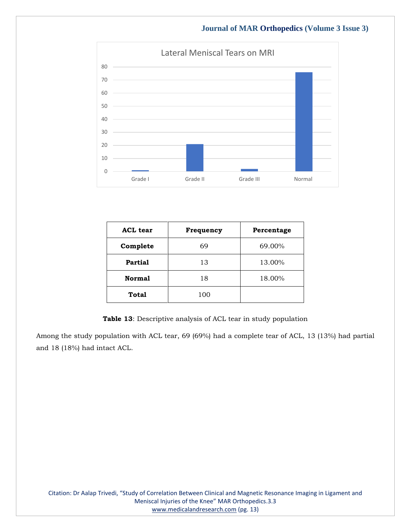

| <b>ACL</b> tear | Frequency | Percentage |
|-----------------|-----------|------------|
| Complete        | 69        | 69.00%     |
| Partial         | 13        | 13.00%     |
| <b>Normal</b>   | 18        | 18.00%     |
| Total           | 100       |            |

**Table 13**: Descriptive analysis of ACL tear in study population

Among the study population with ACL tear, 69 (69%) had a complete tear of ACL, 13 (13%) had partial and 18 (18%) had intact ACL.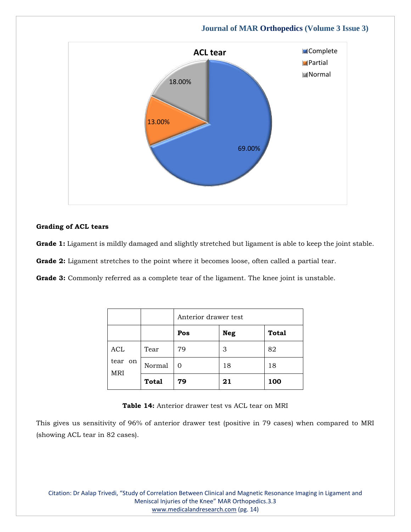

#### **Grading of ACL tears**

Grade 1: Ligament is mildly damaged and slightly stretched but ligament is able to keep the joint stable.

**Grade 2:** Ligament stretches to the point where it becomes loose, often called a partial tear.

**Grade 3:** Commonly referred as a complete tear of the ligament. The knee joint is unstable.

|                       |              | Anterior drawer test |            |              |
|-----------------------|--------------|----------------------|------------|--------------|
|                       |              | Pos                  | <b>Neg</b> | <b>Total</b> |
| ACL                   | Tear         | 79                   | 3          | 82           |
| tear on<br><b>MRI</b> | Normal       | O                    | 18         | 18           |
|                       | <b>Total</b> | 79                   | 21         | 100          |

**Table 14:** Anterior drawer test vs ACL tear on MRI

This gives us sensitivity of 96% of anterior drawer test (positive in 79 cases) when compared to MRI (showing ACL tear in 82 cases).

Citation: Dr Aalap Trivedi, "Study of Correlation Between Clinical and Magnetic Resonance Imaging in Ligament and Meniscal Injuries of the Knee" MAR Orthopedics.3.3 [www.medicalandresearch.com](http://www.medicalandresearch.com/) (pg. 14)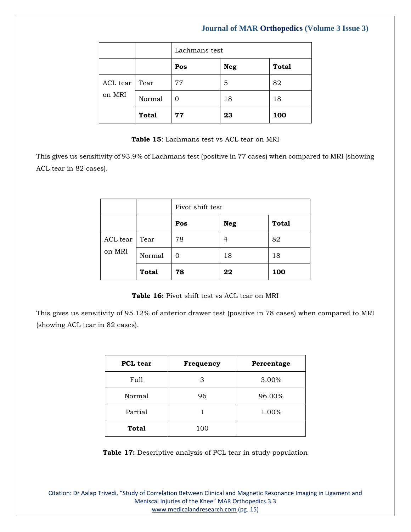|               |              | Lachmans test |            |              |
|---------------|--------------|---------------|------------|--------------|
|               |              | Pos           | <b>Neg</b> | <b>Total</b> |
| ACL tear Tear |              | 77            | 5          | 82           |
| on MRI        | Normal       | O             | 18         | 18           |
|               | <b>Total</b> | 77            | 23         | 100          |

#### **Table 15**: Lachmans test vs ACL tear on MRI

This gives us sensitivity of 93.9% of Lachmans test (positive in 77 cases) when compared to MRI (showing ACL tear in 82 cases).

|          |              | Pivot shift test |            |              |
|----------|--------------|------------------|------------|--------------|
|          |              | Pos              | <b>Neg</b> | <b>Total</b> |
| ACL tear | Tear         | 78               | 4          | 82           |
| on MRI   | Normal       | O                | 18         | 18           |
|          | <b>Total</b> | 78               | 22         | 100          |

**Table 16:** Pivot shift test vs ACL tear on MRI

This gives us sensitivity of 95.12% of anterior drawer test (positive in 78 cases) when compared to MRI (showing ACL tear in 82 cases).

| <b>PCL</b> tear | Frequency | Percentage |
|-----------------|-----------|------------|
| Full            | 3         | 3.00%      |
| Normal          | 96        | 96.00%     |
| Partial         |           | 1.00%      |
| <b>Total</b>    | 100       |            |

**Table 17:** Descriptive analysis of PCL tear in study population

Citation: Dr Aalap Trivedi, "Study of Correlation Between Clinical and Magnetic Resonance Imaging in Ligament and Meniscal Injuries of the Knee" MAR Orthopedics.3.3 [www.medicalandresearch.com](http://www.medicalandresearch.com/) (pg. 15)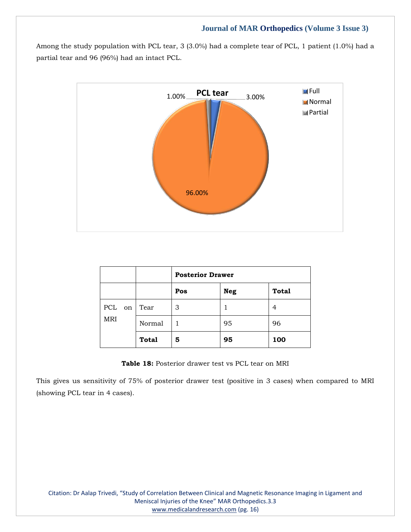Among the study population with PCL tear, 3 (3.0%) had a complete tear of PCL, 1 patient (1.0%) had a partial tear and 96 (96%) had an intact PCL.



|            |              | <b>Posterior Drawer</b> |            |              |
|------------|--------------|-------------------------|------------|--------------|
|            |              | Pos                     | <b>Neg</b> | <b>Total</b> |
| PCL on     | Tear         | 3                       |            | 4            |
| <b>MRI</b> | Normal       |                         | 95         | 96           |
|            | <b>Total</b> | 5                       | 95         | 100          |

**Table 18:** Posterior drawer test vs PCL tear on MRI

This gives us sensitivity of 75% of posterior drawer test (positive in 3 cases) when compared to MRI (showing PCL tear in 4 cases).

Citation: Dr Aalap Trivedi, "Study of Correlation Between Clinical and Magnetic Resonance Imaging in Ligament and Meniscal Injuries of the Knee" MAR Orthopedics.3.3 [www.medicalandresearch.com](http://www.medicalandresearch.com/) (pg. 16)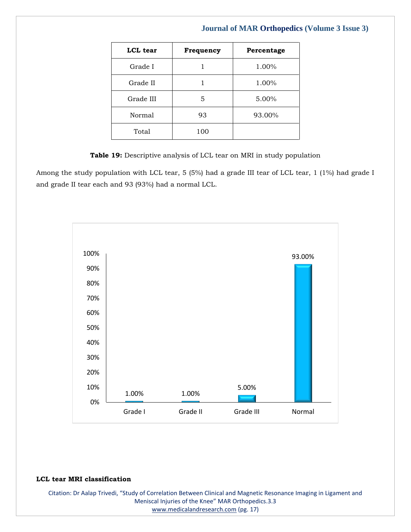# **LCL tear Frequency Percentage** Grade I 1 1.00% Grade II  $1 \t 1 \t 1.00\%$ Grade III  $\begin{array}{|c|c|c|c|c|} \hline 5 & 5.00\% \hline \end{array}$ Normal 93 93.00% Total 100

## **Journal of MAR Orthopedics (Volume 3 Issue 3)**

**Table 19:** Descriptive analysis of LCL tear on MRI in study population

Among the study population with LCL tear, 5 (5%) had a grade III tear of LCL tear, 1 (1%) had grade I and grade II tear each and 93 (93%) had a normal LCL.



#### **LCL tear MRI classification**

Citation: Dr Aalap Trivedi, "Study of Correlation Between Clinical and Magnetic Resonance Imaging in Ligament and Meniscal Injuries of the Knee" MAR Orthopedics.3.3 [www.medicalandresearch.com](http://www.medicalandresearch.com/) (pg. 17)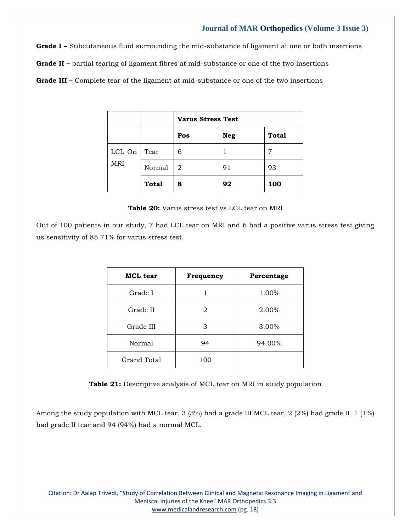**Grade I –** Subcutaneous fluid surrounding the mid-substance of ligament at one or both insertions **Grade II –** partial tearing of ligament fibres at mid-substance or one of the two insertions

**Grade III –** Complete tear of the ligament at mid-substance or one of the two insertions

|            |              | <b>Varus Stress Test</b> |            |              |
|------------|--------------|--------------------------|------------|--------------|
|            |              | Pos                      | <b>Neg</b> | <b>Total</b> |
| LCL On     | Tear         | 6                        |            | 7            |
| <b>MRI</b> | Normal       | 2                        | 91         | 93           |
|            | <b>Total</b> | 8                        | 92         | 100          |

**Table 20:** Varus stress test vs LCL tear on MRI

Out of 100 patients in our study, 7 had LCL tear on MRI and 6 had a positive varus stress test giving us sensitivity of 85.71% for varus stress test.

| <b>MCL</b> tear | Frequency | Percentage |
|-----------------|-----------|------------|
| Grade I         |           | 1.00%      |
| Grade II        | 2         | 2.00%      |
| Grade III       | З         | 3.00%      |
| Normal          | 94        | 94.00%     |
| Grand Total     | 100       |            |

**Table 21:** Descriptive analysis of MCL tear on MRI in study population

Among the study population with MCL tear, 3 (3%) had a grade III MCL tear, 2 (2%) had grade II, 1 (1%) had grade II tear and 94 (94%) had a normal MCL.

Citation: Dr Aalap Trivedi, "Study of Correlation Between Clinical and Magnetic Resonance Imaging in Ligament and Meniscal Injuries of the Knee" MAR Orthopedics.3.3 [www.medicalandresearch.com](http://www.medicalandresearch.com/) (pg. 18)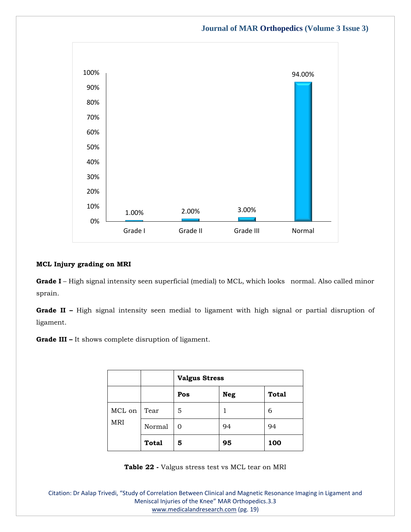

#### **MCL Injury grading on MRI**

**Grade I** – High signal intensity seen superficial (medial) to MCL, which looks normal. Also called minor sprain.

**Grade II –** High signal intensity seen medial to ligament with high signal or partial disruption of ligament.

**Grade III –** It shows complete disruption of ligament.

|            |              | <b>Valgus Stress</b> |            |              |
|------------|--------------|----------------------|------------|--------------|
|            |              | Pos                  | <b>Neg</b> | <b>Total</b> |
| MCL on     | Tear         | 5                    |            | 6            |
| <b>MRI</b> | Normal       | O                    | 94         | 94           |
|            | <b>Total</b> | 5                    | 95         | 100          |

**Table 22 -** Valgus stress test vs MCL tear on MRI

Citation: Dr Aalap Trivedi, "Study of Correlation Between Clinical and Magnetic Resonance Imaging in Ligament and Meniscal Injuries of the Knee" MAR Orthopedics.3.3 [www.medicalandresearch.com](http://www.medicalandresearch.com/) (pg. 19)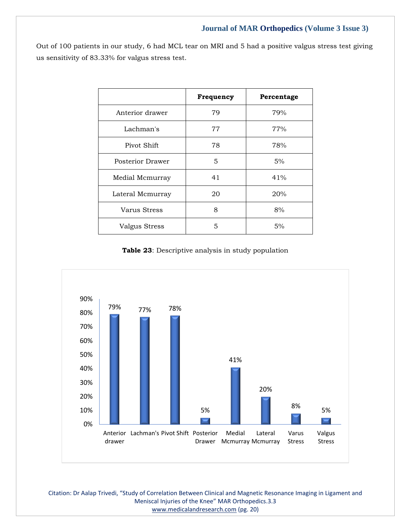Out of 100 patients in our study, 6 had MCL tear on MRI and 5 had a positive valgus stress test giving us sensitivity of 83.33% for valgus stress test.

|                      | Frequency | Percentage |
|----------------------|-----------|------------|
| Anterior drawer      | 79        | 79%        |
| Lachman's            | 77        | 77%        |
| Pivot Shift          | 78        | 78%        |
| Posterior Drawer     | 5         | 5%         |
| Medial Mcmurray      | 41        | 41%        |
| Lateral Mcmurray     | 20        | 20%        |
| Varus Stress         | 8         | 8%         |
| <b>Valgus Stress</b> | 5         | 5%         |

**Table 23**: Descriptive analysis in study population



Citation: Dr Aalap Trivedi, "Study of Correlation Between Clinical and Magnetic Resonance Imaging in Ligament and Meniscal Injuries of the Knee" MAR Orthopedics.3.3 [www.medicalandresearch.com](http://www.medicalandresearch.com/) (pg. 20)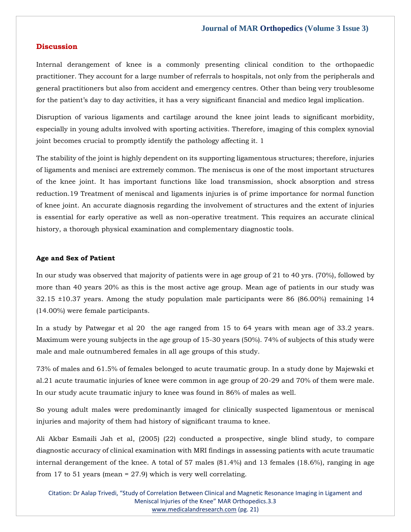#### **Discussion**

Internal derangement of knee is a commonly presenting clinical condition to the orthopaedic practitioner. They account for a large number of referrals to hospitals, not only from the peripherals and general practitioners but also from accident and emergency centres. Other than being very troublesome for the patient's day to day activities, it has a very significant financial and medico legal implication.

Disruption of various ligaments and cartilage around the knee joint leads to significant morbidity, especially in young adults involved with sporting activities. Therefore, imaging of this complex synovial joint becomes crucial to promptly identify the pathology affecting it. 1

The stability of the joint is highly dependent on its supporting ligamentous structures; therefore, injuries of ligaments and menisci are extremely common. The meniscus is one of the most important structures of the knee joint. It has important functions like load transmission, shock absorption and stress reduction.19 Treatment of meniscal and ligaments injuries is of prime importance for normal function of knee joint. An accurate diagnosis regarding the involvement of structures and the extent of injuries is essential for early operative as well as non-operative treatment. This requires an accurate clinical history, a thorough physical examination and complementary diagnostic tools.

#### **Age and Sex of Patient**

In our study was observed that majority of patients were in age group of 21 to 40 yrs. (70%), followed by more than 40 years 20% as this is the most active age group. Mean age of patients in our study was 32.15 ±10.37 years. Among the study population male participants were 86 (86.00%) remaining 14 (14.00%) were female participants.

In a study by Patwegar et al 20 the age ranged from 15 to 64 years with mean age of 33.2 years. Maximum were young subjects in the age group of 15-30 years (50%). 74% of subjects of this study were male and male outnumbered females in all age groups of this study.

73% of males and 61.5% of females belonged to acute traumatic group. In a study done by Majewski et al.21 acute traumatic injuries of knee were common in age group of 20-29 and 70% of them were male. In our study acute traumatic injury to knee was found in 86% of males as well.

So young adult males were predominantly imaged for clinically suspected ligamentous or meniscal injuries and majority of them had history of significant trauma to knee.

Ali Akbar Esmaili Jah et al, (2005) (22) conducted a prospective, single blind study, to compare diagnostic accuracy of clinical examination with MRI findings in assessing patients with acute traumatic internal derangement of the knee. A total of 57 males (81.4%) and 13 females (18.6%), ranging in age from 17 to 51 years (mean = 27.9) which is very well correlating.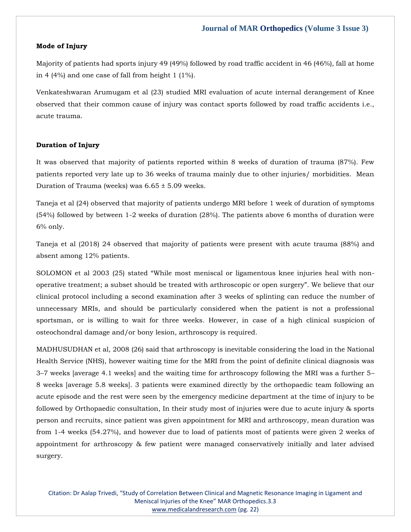#### **Mode of Injury**

Majority of patients had sports injury 49 (49%) followed by road traffic accident in 46 (46%), fall at home in 4 (4%) and one case of fall from height 1 (1%).

Venkateshwaran Arumugam et al (23) studied MRI evaluation of acute internal derangement of Knee observed that their common cause of injury was contact sports followed by road traffic accidents i.e., acute trauma.

#### **Duration of Injury**

It was observed that majority of patients reported within 8 weeks of duration of trauma (87%). Few patients reported very late up to 36 weeks of trauma mainly due to other injuries/ morbidities. Mean Duration of Trauma (weeks) was  $6.65 \pm 5.09$  weeks.

Taneja et al (24) observed that majority of patients undergo MRI before 1 week of duration of symptoms (54%) followed by between 1-2 weeks of duration (28%). The patients above 6 months of duration were 6% only.

Taneja et al (2018) 24 observed that majority of patients were present with acute trauma (88%) and absent among 12% patients.

SOLOMON et al 2003 (25) stated "While most meniscal or ligamentous knee injuries heal with nonoperative treatment; a subset should be treated with arthroscopic or open surgery". We believe that our clinical protocol including a second examination after 3 weeks of splinting can reduce the number of unnecessary MRIs, and should be particularly considered when the patient is not a professional sportsman, or is willing to wait for three weeks. However, in case of a high clinical suspicion of osteochondral damage and/or bony lesion, arthroscopy is required.

MADHUSUDHAN et al, 2008 (26) said that arthroscopy is inevitable considering the load in the National Health Service (NHS), however waiting time for the MRI from the point of definite clinical diagnosis was 3–7 weeks [average 4.1 weeks] and the waiting time for arthroscopy following the MRI was a further 5– 8 weeks [average 5.8 weeks]. 3 patients were examined directly by the orthopaedic team following an acute episode and the rest were seen by the emergency medicine department at the time of injury to be followed by Orthopaedic consultation, In their study most of injuries were due to acute injury & sports person and recruits, since patient was given appointment for MRI and arthroscopy, mean duration was from 1-4 weeks (54.27%), and however due to load of patients most of patients were given 2 weeks of appointment for arthroscopy & few patient were managed conservatively initially and later advised surgery.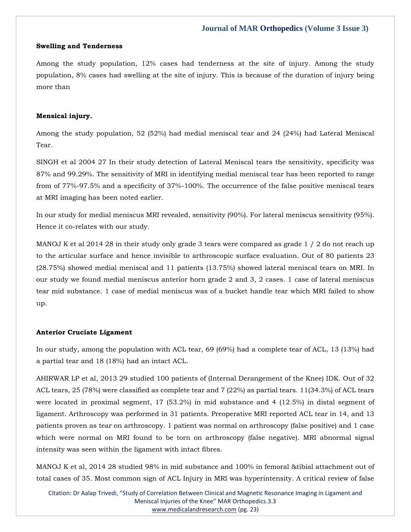#### **Swelling and Tenderness**

Among the study population, 12% cases had tenderness at the site of injury. Among the study population, 8% cases had swelling at the site of injury. This is because of the duration of injury being more than

#### **Mensical injury.**

Among the study population, 52 (52%) had medial meniscal tear and 24 (24%) had Lateral Meniscal Tear.

SINGH et al 2004 27 In their study detection of Lateral Meniscal tears the sensitivity, specificity was 87% and 99.29%. The sensitivity of MRI in identifying medial meniscal tear has been reported to range from of 77%-97.5% and a specificity of 37%-100%. The occurrence of the false positive meniscal tears at MRI imaging has been noted earlier.

In our study for medial meniscus MRI revealed, sensitivity (90%). For lateral meniscus sensitivity (95%). Hence it co-relates with our study.

MANOJ K et al 2014 28 in their study only grade 3 tears were compared as grade 1 / 2 do not reach up to the articular surface and hence invisible to arthroscopic surface evaluation. Out of 80 patients 23 (28.75%) showed medial meniscal and 11 patients (13.75%) showed lateral meniscal tears on MRI. In our study we found medial meniscus anterior horn grade 2 and 3, 2 cases. 1 case of lateral meniscus tear mid substance. 1 case of medial meniscus was of a bucket handle tear which MRI failed to show up.

#### **Anterior Cruciate Ligament**

In our study, among the population with ACL tear, 69 (69%) had a complete tear of ACL, 13 (13%) had a partial tear and 18 (18%) had an intact ACL.

AHIRWAR LP et al, 2013 29 studied 100 patients of (Internal Derangement of the Knee) IDK. Out of 32 ACL tears, 25 (78%) were classified as complete tear and 7 (22%) as partial tears. 11(34.3%) of ACL tears were located in proximal segment, 17 (53.2%) in mid substance and 4 (12.5%) in distal segment of ligament. Arthroscopy was performed in 31 patients. Preoperative MRI reported ACL tear in 14, and 13 patients proven as tear on arthroscopy. 1 patient was normal on arthroscopy (false positive) and 1 case which were normal on MRI found to be torn on arthroscopy (false negative). MRI abnormal signal intensity was seen within the ligament with intact fibres.

MANOJ K et al, 2014 28 studied 98% in mid substance and 100% in femoral &tibial attachment out of total cases of 35. Most common sign of ACL Injury in MRI was hyperintensity. A critical review of false

Citation: Dr Aalap Trivedi, "Study of Correlation Between Clinical and Magnetic Resonance Imaging in Ligament and Meniscal Injuries of the Knee" MAR Orthopedics.3.3 [www.medicalandresearch.com](http://www.medicalandresearch.com/) (pg. 23)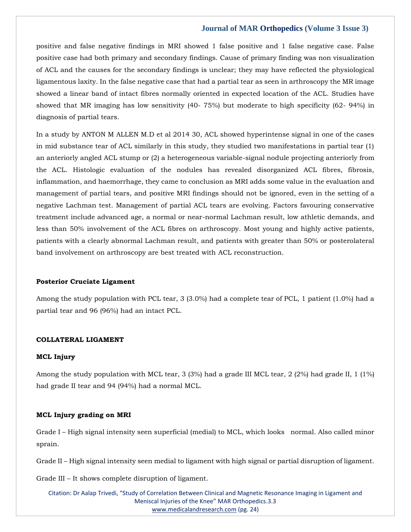positive and false negative findings in MRI showed 1 false positive and 1 false negative case. False positive case had both primary and secondary findings. Cause of primary finding was non visualization of ACL and the causes for the secondary findings is unclear; they may have reflected the physiological ligamentous laxity. In the false negative case that had a partial tear as seen in arthroscopy the MR image showed a linear band of intact fibres normally oriented in expected location of the ACL. Studies have showed that MR imaging has low sensitivity (40- 75%) but moderate to high specificity (62- 94%) in diagnosis of partial tears.

In a study by ANTON M ALLEN M.D et al 2014 30, ACL showed hyperintense signal in one of the cases in mid substance tear of ACL similarly in this study, they studied two manifestations in partial tear (1) an anteriorly angled ACL stump or (2) a heterogeneous variable-signal nodule projecting anteriorly from the ACL. Histologic evaluation of the nodules has revealed disorganized ACL fibres, fibrosis, inflammation, and haemorrhage, they came to conclusion as MRI adds some value in the evaluation and management of partial tears, and positive MRI findings should not be ignored, even in the setting of a negative Lachman test. Management of partial ACL tears are evolving. Factors favouring conservative treatment include advanced age, a normal or near-normal Lachman result, low athletic demands, and less than 50% involvement of the ACL fibres on arthroscopy. Most young and highly active patients, patients with a clearly abnormal Lachman result, and patients with greater than 50% or posterolateral band involvement on arthroscopy are best treated with ACL reconstruction.

#### **Posterior Cruciate Ligament**

Among the study population with PCL tear, 3 (3.0%) had a complete tear of PCL, 1 patient (1.0%) had a partial tear and 96 (96%) had an intact PCL.

#### **COLLATERAL LIGAMENT**

#### **MCL Injury**

Among the study population with MCL tear, 3 (3%) had a grade III MCL tear, 2 (2%) had grade II, 1 (1%) had grade II tear and 94 (94%) had a normal MCL.

#### **MCL Injury grading on MRI**

Grade I – High signal intensity seen superficial (medial) to MCL, which looks normal. Also called minor sprain.

Grade II – High signal intensity seen medial to ligament with high signal or partial disruption of ligament.

Grade III – It shows complete disruption of ligament.

Citation: Dr Aalap Trivedi, "Study of Correlation Between Clinical and Magnetic Resonance Imaging in Ligament and Meniscal Injuries of the Knee" MAR Orthopedics.3.3 [www.medicalandresearch.com](http://www.medicalandresearch.com/) (pg. 24)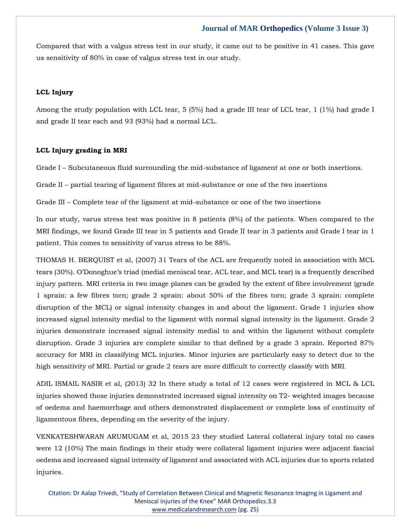Compared that with a valgus stress test in our study, it came out to be positive in 41 cases. This gave us sensitivity of 80% in case of valgus stress test in our study.

#### **LCL Injury**

Among the study population with LCL tear, 5 (5%) had a grade III tear of LCL tear, 1 (1%) had grade I and grade II tear each and 93 (93%) had a normal LCL.

#### **LCL Injury grading in MRI**

Grade I – Subcutaneous fluid surrounding the mid-substance of ligament at one or both insertions.

Grade II – partial tearing of ligament fibres at mid-substance or one of the two insertions

Grade III – Complete tear of the ligament at mid-substance or one of the two insertions

In our study, varus stress test was positive in 8 patients (8%) of the patients. When compared to the MRI findings, we found Grade III tear in 5 patients and Grade II tear in 3 patients and Grade I tear in 1 patient. This comes to sensitivity of varus stress to be 88%.

THOMAS H. BERQUIST et al, (2007) 31 Tears of the ACL are frequently noted in association with MCL tears (30%). O'Donoghue's triad (medial meniscal tear, ACL tear, and MCL tear) is a frequently described injury pattern. MRI criteria in two image planes can be graded by the extent of fibre involvement (grade 1 sprain: a few fibres torn; grade 2 sprain: about 50% of the fibres torn; grade 3 sprain: complete disruption of the MCL) or signal intensity changes in and about the ligament. Grade 1 injuries show increased signal intensity medial to the ligament with normal signal intensity in the ligament. Grade 2 injuries demonstrate increased signal intensity medial to and within the ligament without complete disruption. Grade 3 injuries are complete similar to that defined by a grade 3 sprain. Reported 87% accuracy for MRI in classifying MCL injuries. Minor injuries are particularly easy to detect due to the high sensitivity of MRI. Partial or grade 2 tears are more difficult to correctly classify with MRI.

ADIL ISMAIL NASIR et al, (2013) 32 In there study a total of 12 cases were registered in MCL & LCL injuries showed those injuries demonstrated increased signal intensity on T2- weighted images because of oedema and haemorrhage and others demonstrated displacement or complete loss of continuity of ligamentous fibres, depending on the severity of the injury.

VENKATESHWARAN ARUMUGAM et al, 2015 23 they studied Lateral collateral injury total no cases were 12 (10%) The main findings in their study were collateral ligament injuries were adjacent fascial oedema and increased signal intensity of ligament and associated with ACL injuries due to sports related injuries.

Citation: Dr Aalap Trivedi, "Study of Correlation Between Clinical and Magnetic Resonance Imaging in Ligament and Meniscal Injuries of the Knee" MAR Orthopedics.3.3 [www.medicalandresearch.com](http://www.medicalandresearch.com/) (pg. 25)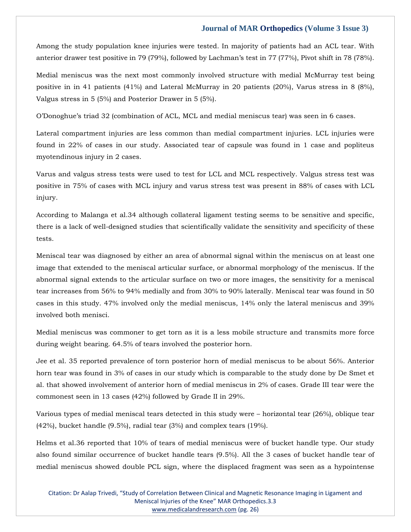Among the study population knee injuries were tested. In majority of patients had an ACL tear. With anterior drawer test positive in 79 (79%), followed by Lachman's test in 77 (77%), Pivot shift in 78 (78%).

Medial meniscus was the next most commonly involved structure with medial McMurray test being positive in in 41 patients (41%) and Lateral McMurray in 20 patients (20%), Varus stress in 8 (8%), Valgus stress in 5 (5%) and Posterior Drawer in 5 (5%).

O'Donoghue's triad 32 (combination of ACL, MCL and medial meniscus tear) was seen in 6 cases.

Lateral compartment injuries are less common than medial compartment injuries. LCL injuries were found in 22% of cases in our study. Associated tear of capsule was found in 1 case and popliteus myotendinous injury in 2 cases.

Varus and valgus stress tests were used to test for LCL and MCL respectively. Valgus stress test was positive in 75% of cases with MCL injury and varus stress test was present in 88% of cases with LCL injury.

According to Malanga et al.34 although collateral ligament testing seems to be sensitive and specific, there is a lack of well-designed studies that scientifically validate the sensitivity and specificity of these tests.

Meniscal tear was diagnosed by either an area of abnormal signal within the meniscus on at least one image that extended to the meniscal articular surface, or abnormal morphology of the meniscus. If the abnormal signal extends to the articular surface on two or more images, the sensitivity for a meniscal tear increases from 56% to 94% medially and from 30% to 90% laterally. Meniscal tear was found in 50 cases in this study. 47% involved only the medial meniscus, 14% only the lateral meniscus and 39% involved both menisci.

Medial meniscus was commoner to get torn as it is a less mobile structure and transmits more force during weight bearing. 64.5% of tears involved the posterior horn.

Jee et al. 35 reported prevalence of torn posterior horn of medial meniscus to be about 56%. Anterior horn tear was found in 3% of cases in our study which is comparable to the study done by De Smet et al. that showed involvement of anterior horn of medial meniscus in 2% of cases. Grade III tear were the commonest seen in 13 cases (42%) followed by Grade II in 29%.

Various types of medial meniscal tears detected in this study were – horizontal tear (26%), oblique tear (42%), bucket handle (9.5%), radial tear (3%) and complex tears (19%).

Helms et al.36 reported that 10% of tears of medial meniscus were of bucket handle type. Our study also found similar occurrence of bucket handle tears (9.5%). All the 3 cases of bucket handle tear of medial meniscus showed double PCL sign, where the displaced fragment was seen as a hypointense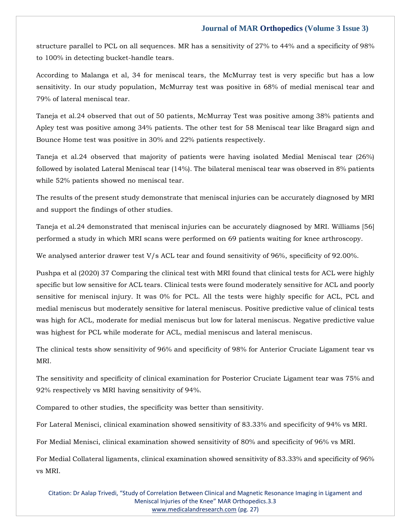structure parallel to PCL on all sequences. MR has a sensitivity of 27% to 44% and a specificity of 98% to 100% in detecting bucket-handle tears.

According to Malanga et al, 34 for meniscal tears, the McMurray test is very specific but has a low sensitivity. In our study population, McMurray test was positive in 68% of medial meniscal tear and 79% of lateral meniscal tear.

Taneja et al.24 observed that out of 50 patients, McMurray Test was positive among 38% patients and Apley test was positive among 34% patients. The other test for 58 Meniscal tear like Bragard sign and Bounce Home test was positive in 30% and 22% patients respectively.

Taneja et al.24 observed that majority of patients were having isolated Medial Meniscal tear (26%) followed by isolated Lateral Meniscal tear (14%). The bilateral meniscal tear was observed in 8% patients while 52% patients showed no meniscal tear.

The results of the present study demonstrate that meniscal injuries can be accurately diagnosed by MRI and support the findings of other studies.

Taneja et al.24 demonstrated that meniscal injuries can be accurately diagnosed by MRI. Williams [56] performed a study in which MRI scans were performed on 69 patients waiting for knee arthroscopy.

We analysed anterior drawer test V/s ACL tear and found sensitivity of 96%, specificity of 92.00%.

Pushpa et al (2020) 37 Comparing the clinical test with MRI found that clinical tests for ACL were highly specific but low sensitive for ACL tears. Clinical tests were found moderately sensitive for ACL and poorly sensitive for meniscal injury. It was 0% for PCL. All the tests were highly specific for ACL, PCL and medial meniscus but moderately sensitive for lateral meniscus. Positive predictive value of clinical tests was high for ACL, moderate for medial meniscus but low for lateral meniscus. Negative predictive value was highest for PCL while moderate for ACL, medial meniscus and lateral meniscus.

The clinical tests show sensitivity of 96% and specificity of 98% for Anterior Cruciate Ligament tear vs MRI.

The sensitivity and specificity of clinical examination for Posterior Cruciate Ligament tear was 75% and 92% respectively vs MRI having sensitivity of 94%.

Compared to other studies, the specificity was better than sensitivity.

For Lateral Menisci, clinical examination showed sensitivity of 83.33% and specificity of 94% vs MRI.

For Medial Menisci, clinical examination showed sensitivity of 80% and specificity of 96% vs MRI.

For Medial Collateral ligaments, clinical examination showed sensitivity of 83.33% and specificity of 96% vs MRI.

Citation: Dr Aalap Trivedi, "Study of Correlation Between Clinical and Magnetic Resonance Imaging in Ligament and Meniscal Injuries of the Knee" MAR Orthopedics.3.3 [www.medicalandresearch.com](http://www.medicalandresearch.com/) (pg. 27)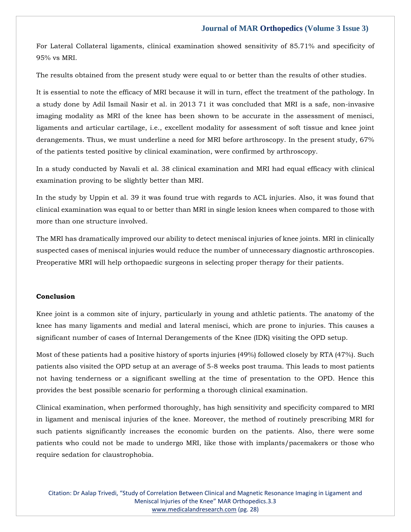For Lateral Collateral ligaments, clinical examination showed sensitivity of 85.71% and specificity of 95% vs MRI.

The results obtained from the present study were equal to or better than the results of other studies.

It is essential to note the efficacy of MRI because it will in turn, effect the treatment of the pathology. In a study done by Adil Ismail Nasir et al. in 2013 71 it was concluded that MRI is a safe, non-invasive imaging modality as MRI of the knee has been shown to be accurate in the assessment of menisci, ligaments and articular cartilage, i.e., excellent modality for assessment of soft tissue and knee joint derangements. Thus, we must underline a need for MRI before arthroscopy. In the present study, 67% of the patients tested positive by clinical examination, were confirmed by arthroscopy.

In a study conducted by Navali et al. 38 clinical examination and MRI had equal efficacy with clinical examination proving to be slightly better than MRI.

In the study by Uppin et al. 39 it was found true with regards to ACL injuries. Also, it was found that clinical examination was equal to or better than MRI in single lesion knees when compared to those with more than one structure involved.

The MRI has dramatically improved our ability to detect meniscal injuries of knee joints. MRI in clinically suspected cases of meniscal injuries would reduce the number of unnecessary diagnostic arthroscopies. Preoperative MRI will help orthopaedic surgeons in selecting proper therapy for their patients.

#### **Conclusion**

Knee joint is a common site of injury, particularly in young and athletic patients. The anatomy of the knee has many ligaments and medial and lateral menisci, which are prone to injuries. This causes a significant number of cases of Internal Derangements of the Knee (IDK) visiting the OPD setup.

Most of these patients had a positive history of sports injuries (49%) followed closely by RTA (47%). Such patients also visited the OPD setup at an average of 5-8 weeks post trauma. This leads to most patients not having tenderness or a significant swelling at the time of presentation to the OPD. Hence this provides the best possible scenario for performing a thorough clinical examination.

Clinical examination, when performed thoroughly, has high sensitivity and specificity compared to MRI in ligament and meniscal injuries of the knee. Moreover, the method of routinely prescribing MRI for such patients significantly increases the economic burden on the patients. Also, there were some patients who could not be made to undergo MRI, like those with implants/pacemakers or those who require sedation for claustrophobia.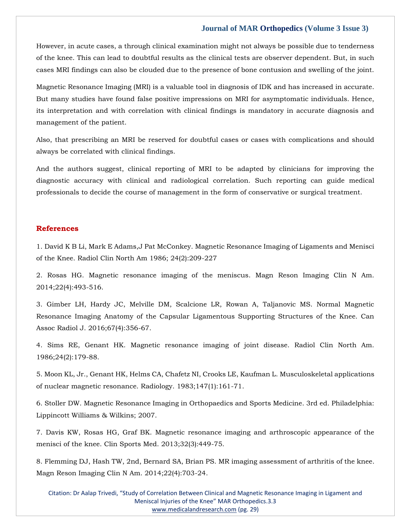However, in acute cases, a through clinical examination might not always be possible due to tenderness of the knee. This can lead to doubtful results as the clinical tests are observer dependent. But, in such cases MRI findings can also be clouded due to the presence of bone contusion and swelling of the joint.

Magnetic Resonance Imaging (MRI) is a valuable tool in diagnosis of IDK and has increased in accurate. But many studies have found false positive impressions on MRI for asymptomatic individuals. Hence, its interpretation and with correlation with clinical findings is mandatory in accurate diagnosis and management of the patient.

Also, that prescribing an MRI be reserved for doubtful cases or cases with complications and should always be correlated with clinical findings.

And the authors suggest, clinical reporting of MRI to be adapted by clinicians for improving the diagnostic accuracy with clinical and radiological correlation. Such reporting can guide medical professionals to decide the course of management in the form of conservative or surgical treatment.

#### **References**

1. David K B Li, Mark E Adams,J Pat McConkey. Magnetic Resonance Imaging of Ligaments and Menisci of the Knee. Radiol Clin North Am 1986; 24(2):209-227

2. Rosas HG. Magnetic resonance imaging of the meniscus. Magn Reson Imaging Clin N Am. 2014;22(4):493-516.

3. Gimber LH, Hardy JC, Melville DM, Scalcione LR, Rowan A, Taljanovic MS. Normal Magnetic Resonance Imaging Anatomy of the Capsular Ligamentous Supporting Structures of the Knee. Can Assoc Radiol J. 2016;67(4):356-67.

4. Sims RE, Genant HK. Magnetic resonance imaging of joint disease. Radiol Clin North Am. 1986;24(2):179-88.

5. Moon KL, Jr., Genant HK, Helms CA, Chafetz NI, Crooks LE, Kaufman L. Musculoskeletal applications of nuclear magnetic resonance. Radiology. 1983;147(1):161-71.

6. Stoller DW. Magnetic Resonance Imaging in Orthopaedics and Sports Medicine. 3rd ed. Philadelphia: Lippincott Williams & Wilkins; 2007.

7. Davis KW, Rosas HG, Graf BK. Magnetic resonance imaging and arthroscopic appearance of the menisci of the knee. Clin Sports Med. 2013;32(3):449-75.

8. Flemming DJ, Hash TW, 2nd, Bernard SA, Brian PS. MR imaging assessment of arthritis of the knee. Magn Reson Imaging Clin N Am. 2014;22(4):703-24.

Citation: Dr Aalap Trivedi, "Study of Correlation Between Clinical and Magnetic Resonance Imaging in Ligament and Meniscal Injuries of the Knee" MAR Orthopedics.3.3 [www.medicalandresearch.com](http://www.medicalandresearch.com/) (pg. 29)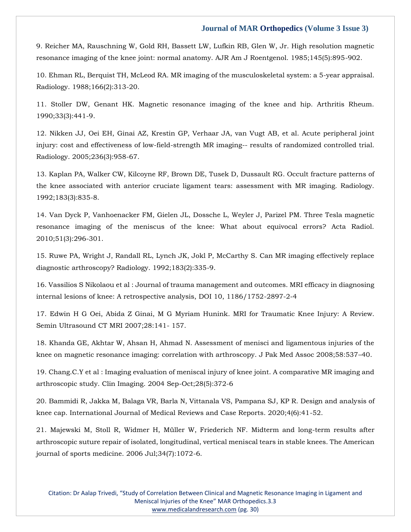9. Reicher MA, Rauschning W, Gold RH, Bassett LW, Lufkin RB, Glen W, Jr. High resolution magnetic resonance imaging of the knee joint: normal anatomy. AJR Am J Roentgenol. 1985;145(5):895-902.

10. Ehman RL, Berquist TH, McLeod RA. MR imaging of the musculoskeletal system: a 5-year appraisal. Radiology. 1988;166(2):313-20.

11. Stoller DW, Genant HK. Magnetic resonance imaging of the knee and hip. Arthritis Rheum. 1990;33(3):441-9.

12. Nikken JJ, Oei EH, Ginai AZ, Krestin GP, Verhaar JA, van Vugt AB, et al. Acute peripheral joint injury: cost and effectiveness of low-field-strength MR imaging-- results of randomized controlled trial. Radiology. 2005;236(3):958-67.

13. Kaplan PA, Walker CW, Kilcoyne RF, Brown DE, Tusek D, Dussault RG. Occult fracture patterns of the knee associated with anterior cruciate ligament tears: assessment with MR imaging. Radiology. 1992;183(3):835-8.

14. Van Dyck P, Vanhoenacker FM, Gielen JL, Dossche L, Weyler J, Parizel PM. Three Tesla magnetic resonance imaging of the meniscus of the knee: What about equivocal errors? Acta Radiol. 2010;51(3):296-301.

15. Ruwe PA, Wright J, Randall RL, Lynch JK, Jokl P, McCarthy S. Can MR imaging effectively replace diagnostic arthroscopy? Radiology. 1992;183(2):335-9.

16. Vassilios S Nikolaou et al : Journal of trauma management and outcomes. MRI efficacy in diagnosing internal lesions of knee: A retrospective analysis, DOI 10, 1186/1752-2897-2-4

17. Edwin H G Oei, Abida Z Ginai, M G Myriam Hunink. MRI for Traumatic Knee Injury: A Review. Semin Ultrasound CT MRI 2007;28:141- 157.

18. Khanda GE, Akhtar W, Ahsan H, Ahmad N. Assessment of menisci and ligamentous injuries of the knee on magnetic resonance imaging: correlation with arthroscopy. J Pak Med Assoc 2008;58:537–40.

19. Chang.C.Y et al : Imaging evaluation of meniscal injury of knee joint. A comparative MR imaging and arthroscopic study. Clin Imaging. 2004 Sep-Oct;28(5):372-6

20. Bammidi R, Jakka M, Balaga VR, Barla N, Vittanala VS, Pampana SJ, KP R. Design and analysis of knee cap. International Journal of Medical Reviews and Case Reports. 2020;4(6):41-52.

21. Majewski M, Stoll R, Widmer H, Müller W, Friederich NF. Midterm and long-term results after arthroscopic suture repair of isolated, longitudinal, vertical meniscal tears in stable knees. The American journal of sports medicine. 2006 Jul;34(7):1072-6.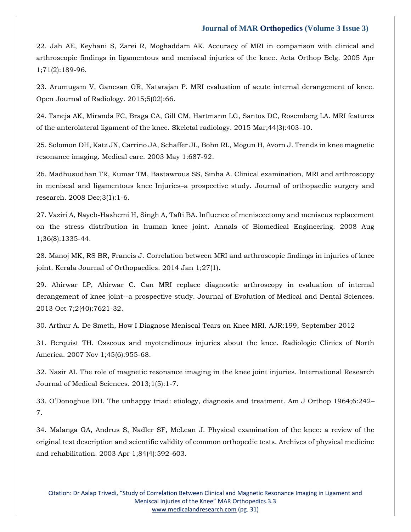22. Jah AE, Keyhani S, Zarei R, Moghaddam AK. Accuracy of MRI in comparison with clinical and arthroscopic findings in ligamentous and meniscal injuries of the knee. Acta Orthop Belg. 2005 Apr 1;71(2):189-96.

23. Arumugam V, Ganesan GR, Natarajan P. MRI evaluation of acute internal derangement of knee. Open Journal of Radiology. 2015;5(02):66.

24. Taneja AK, Miranda FC, Braga CA, Gill CM, Hartmann LG, Santos DC, Rosemberg LA. MRI features of the anterolateral ligament of the knee. Skeletal radiology. 2015 Mar;44(3):403-10.

25. Solomon DH, Katz JN, Carrino JA, Schaffer JL, Bohn RL, Mogun H, Avorn J. Trends in knee magnetic resonance imaging. Medical care. 2003 May 1:687-92.

26. Madhusudhan TR, Kumar TM, Bastawrous SS, Sinha A. Clinical examination, MRI and arthroscopy in meniscal and ligamentous knee Injuries–a prospective study. Journal of orthopaedic surgery and research. 2008 Dec;3(1):1-6.

27. Vaziri A, Nayeb-Hashemi H, Singh A, Tafti BA. Influence of meniscectomy and meniscus replacement on the stress distribution in human knee joint. Annals of Biomedical Engineering. 2008 Aug 1;36(8):1335-44.

28. Manoj MK, RS BR, Francis J. Correlation between MRI and arthroscopic findings in injuries of knee joint. Kerala Journal of Orthopaedics. 2014 Jan 1;27(1).

29. Ahirwar LP, Ahirwar C. Can MRI replace diagnostic arthroscopy in evaluation of internal derangement of knee joint--a prospective study. Journal of Evolution of Medical and Dental Sciences. 2013 Oct 7;2(40):7621-32.

30. Arthur A. De Smeth, How I Diagnose Meniscal Tears on Knee MRI. AJR:199, September 2012

31. Berquist TH. Osseous and myotendinous injuries about the knee. Radiologic Clinics of North America. 2007 Nov 1;45(6):955-68.

32. Nasir AI. The role of magnetic resonance imaging in the knee joint injuries. International Research Journal of Medical Sciences. 2013;1(5):1-7.

33. O'Donoghue DH. The unhappy triad: etiology, diagnosis and treatment. Am J Orthop 1964;6:242– 7.

34. Malanga GA, Andrus S, Nadler SF, McLean J. Physical examination of the knee: a review of the original test description and scientific validity of common orthopedic tests. Archives of physical medicine and rehabilitation. 2003 Apr 1;84(4):592-603.